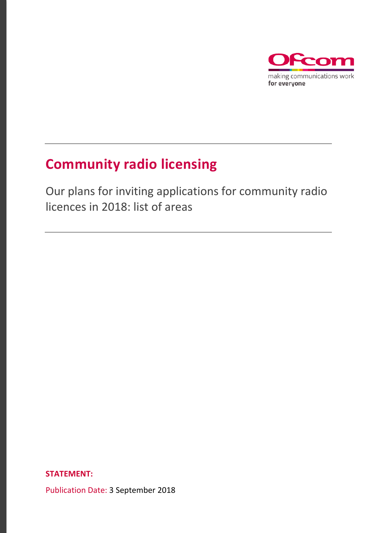

### **Community radio licensing**

Our plans for inviting applications for community radio licences in 2018: list of areas

**STATEMENT:**

Publication Date: 3 September 2018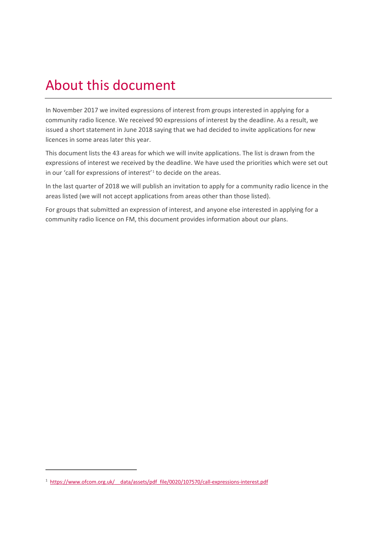### About this document

In November 2017 we invited expressions of interest from groups interested in applying for a community radio licence. We received 90 expressions of interest by the deadline. As a result, we issued a short statement in June 2018 saying that we had decided to invite applications for new licences in some areas later this year.

This document lists the 43 areas for which we will invite applications. The list is drawn from the expressions of interest we received by the deadline. We have used the priorities which were set out in our 'call for expressions of interest'<sup>[1](#page-1-0)</sup> to decide on the areas.

In the last quarter of 2018 we will publish an invitation to apply for a community radio licence in the areas listed (we will not accept applications from areas other than those listed).

For groups that submitted an expression of interest, and anyone else interested in applying for a community radio licence on FM, this document provides information about our plans.

 $\overline{a}$ 

<span id="page-1-0"></span><sup>1</sup> [https://www.ofcom.org.uk/\\_\\_data/assets/pdf\\_file/0020/107570/call-expressions-interest.pdf](https://www.ofcom.org.uk/__data/assets/pdf_file/0020/107570/call-expressions-interest.pdf)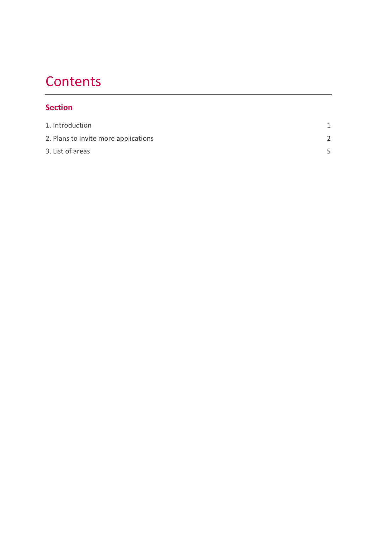### **Contents**

#### **Section**

| 1. Introduction                      |  |
|--------------------------------------|--|
| 2. Plans to invite more applications |  |
| 3. List of areas                     |  |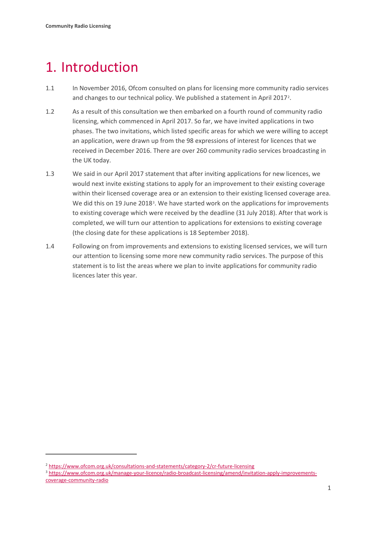### <span id="page-3-0"></span>1. Introduction

- 1.1 In November 2016, Ofcom consulted on plans for licensing more community radio services and changes to our technical policy. We published a statement in April 2017<sup>2</sup>.
- 1.2 As a result of this consultation we then embarked on a fourth round of community radio licensing, which commenced in April 2017. So far, we have invited applications in two phases. The two invitations, which listed specific areas for which we were willing to accept an application, were drawn up from the 98 expressions of interest for licences that we received in December 2016. There are over 260 community radio services broadcasting in the UK today.
- 1.3 We said in our April 2017 statement that after inviting applications for new licences, we would next invite existing stations to apply for an improvement to their existing coverage within their licensed coverage area or an extension to their existing licensed coverage area. We did this on 19 June 2018<sup>[3](#page-3-2)</sup>. We have started work on the applications for improvements to existing coverage which were received by the deadline (31 July 2018). After that work is completed, we will turn our attention to applications for extensions to existing coverage (the closing date for these applications is 18 September 2018).
- 1.4 Following on from improvements and extensions to existing licensed services, we will turn our attention to licensing some more new community radio services. The purpose of this statement is to list the areas where we plan to invite applications for community radio licences later this year.

 $\overline{a}$ 

<span id="page-3-1"></span><sup>2</sup> <https://www.ofcom.org.uk/consultations-and-statements/category-2/cr-future-licensing>

<span id="page-3-2"></span><sup>3</sup> [https://www.ofcom.org.uk/manage-your-licence/radio-broadcast-licensing/amend/invitation-apply-improvements](https://www.ofcom.org.uk/manage-your-licence/radio-broadcast-licensing/amend/invitation-apply-improvements-coverage-community-radio)[coverage-community-radio](https://www.ofcom.org.uk/manage-your-licence/radio-broadcast-licensing/amend/invitation-apply-improvements-coverage-community-radio)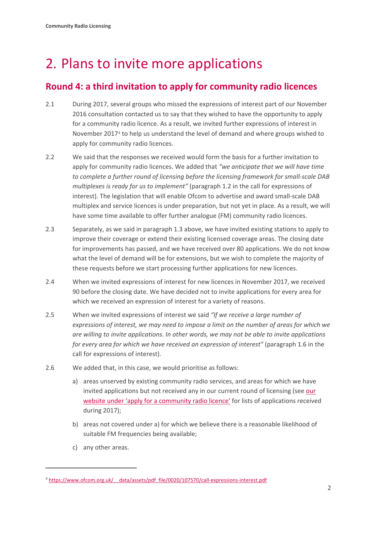# <span id="page-4-0"></span>2. Plans to invite more applications

### **Round 4: a third invitation to apply for community radio licences**

- 2.1 During 2017, several groups who missed the expressions of interest part of our November 2016 consultation contacted us to say that they wished to have the opportunity to apply for a community radio licence. As a result, we invited further expressions of interest in November 2017[4](#page-4-1) to help us understand the level of demand and where groups wished to apply for community radio licences.
- 2.2 We said that the responses we received would form the basis for a further invitation to apply for community radio licences. We added that *"we anticipate that we will have time to complete a further round of licensing before the licensing framework for small-scale DAB multiplexes is ready for us to implement"* (paragraph 1.2 in the call for expressions of interest). The legislation that will enable Ofcom to advertise and award small-scale DAB multiplex and service licences is under preparation, but not yet in place. As a result, we will have some time available to offer further analogue (FM) community radio licences.
- 2.3 Separately, as we said in paragraph 1.3 above, we have invited existing stations to apply to improve their coverage or extend their existing licensed coverage areas. The closing date for improvements has passed, and we have received over 80 applications. We do not know what the level of demand will be for extensions, but we wish to complete the majority of these requests before we start processing further applications for new licences.
- 2.4 When we invited expressions of interest for new licences in November 2017, we received 90 before the closing date. We have decided not to invite applications for every area for which we received an expression of interest for a variety of reasons.
- 2.5 When we invited expressions of interest we said *"If we receive a large number of expressions of interest, we may need to impose a limit on the number of areas for which we are willing to invite applications. In other words, we may not be able to invite applications for every area for which we have received an expression of interest"* (paragraph 1.6 in the call for expressions of interest).
- 2.6 We added that, in this case, we would prioritise as follows:
	- a) areas unserved by existing community radio services, and areas for which we have invited applications but not received any in our current round of licensing (see [our](https://www.ofcom.org.uk/manage-your-licence/radio-broadcast-licensing/apply-for-a-radio-broadcast-licence)  [website under 'apply for a community radio licence'](https://www.ofcom.org.uk/manage-your-licence/radio-broadcast-licensing/apply-for-a-radio-broadcast-licence) for lists of applications received during 2017);
	- b) areas not covered under a) for which we believe there is a reasonable likelihood of suitable FM frequencies being available;
	- c) any other areas.

**.** 

<span id="page-4-1"></span><sup>4</sup> [https://www.ofcom.org.uk/\\_\\_data/assets/pdf\\_file/0020/107570/call-expressions-interest.pdf](https://www.ofcom.org.uk/__data/assets/pdf_file/0020/107570/call-expressions-interest.pdf)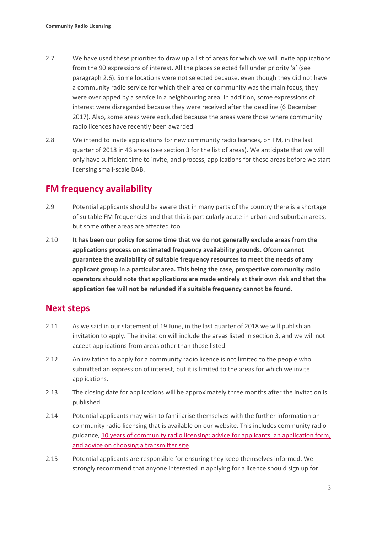- 2.7 We have used these priorities to draw up a list of areas for which we will invite applications from the 90 expressions of interest. All the places selected fell under priority 'a' (see paragraph 2.6). Some locations were not selected because, even though they did not have a community radio service for which their area or community was the main focus, they were overlapped by a service in a neighbouring area. In addition, some expressions of interest were disregarded because they were received after the deadline (6 December 2017). Also, some areas were excluded because the areas were those where community radio licences have recently been awarded.
- 2.8 We intend to invite applications for new community radio licences, on FM, in the last quarter of 2018 in 43 areas (see section 3 for the list of areas). We anticipate that we will only have sufficient time to invite, and process, applications for these areas before we start licensing small-scale DAB.

### **FM frequency availability**

- 2.9 Potential applicants should be aware that in many parts of the country there is a shortage of suitable FM frequencies and that this is particularly acute in urban and suburban areas, but some other areas are affected too.
- 2.10 **It has been our policy for some time that we do not generally exclude areas from the applications process on estimated frequency availability grounds. Ofcom cannot guarantee the availability of suitable frequency resources to meet the needs of any applicant group in a particular area. This being the case, prospective community radio operators should note that applications are made entirely at their own risk and that the application fee will not be refunded if a suitable frequency cannot be found**.

#### **Next steps**

- 2.11 As we said in our statement of 19 June, in the last quarter of 2018 we will publish an invitation to apply. The invitation will include the areas listed in section 3, and we will not accept applications from areas other than those listed.
- 2.12 An invitation to apply for a community radio licence is not limited to the people who submitted an expression of interest, but it is limited to the areas for which we invite applications.
- 2.13 The closing date for applications will be approximately three months after the invitation is published.
- 2.14 Potential applicants may wish to familiarise themselves with the further information on community radio licensing that is available on our website. This includes community radio guidance, [10 years of community radio licensing: advice for applicants, an application form,](https://www.ofcom.org.uk/manage-your-licence/radio-broadcast-licensing/apply-for-a-radio-broadcast-licence) [and advice on choosing](https://www.ofcom.org.uk/manage-your-licence/radio-broadcast-licensing/apply-for-a-radio-broadcast-licence) a transmitter site.
- 2.15 Potential applicants are responsible for ensuring they keep themselves informed. We strongly recommend that anyone interested in applying for a licence should sign up for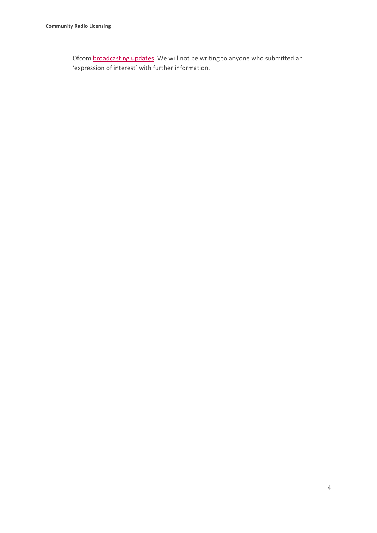Ofcom [broadcasting updates.](https://confirmsubscription.com/h/i/7D1B465C1F301F71) We will not be writing to anyone who submitted an 'expression of interest' with further information.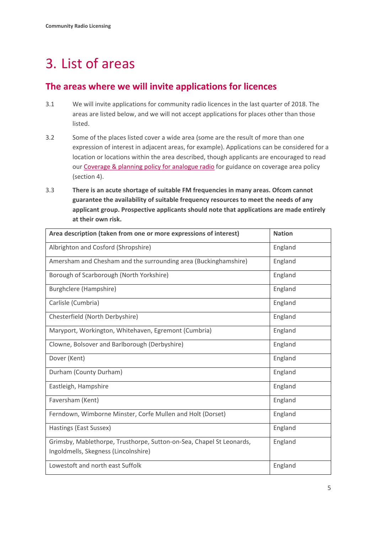## <span id="page-7-0"></span>3. List of areas

#### **The areas where we will invite applications for licences**

- 3.1 We will invite applications for community radio licences in the last quarter of 2018. The areas are listed below, and we will not accept applications for places other than those listed.
- 3.2 Some of the places listed cover a wide area (some are the result of more than one expression of interest in adjacent areas, for example). Applications can be considered for a location or locations within the area described, though applicants are encouraged to read our [Coverage & planning policy for analogue radio](https://www.ofcom.org.uk/__data/assets/pdf_file/0018/54621/analogue-coverage-policy.pdf) for guidance on coverage area policy (section 4).
- 3.3 **There is an acute shortage of suitable FM frequencies in many areas. Ofcom cannot guarantee the availability of suitable frequency resources to meet the needs of any applicant group. Prospective applicants should note that applications are made entirely at their own risk.**

| Area description (taken from one or more expressions of interest)                                            | <b>Nation</b> |
|--------------------------------------------------------------------------------------------------------------|---------------|
| Albrighton and Cosford (Shropshire)                                                                          | England       |
| Amersham and Chesham and the surrounding area (Buckinghamshire)                                              | England       |
| Borough of Scarborough (North Yorkshire)                                                                     | England       |
| Burghclere (Hampshire)                                                                                       | England       |
| Carlisle (Cumbria)                                                                                           | England       |
| Chesterfield (North Derbyshire)                                                                              | England       |
| Maryport, Workington, Whitehaven, Egremont (Cumbria)                                                         | England       |
| Clowne, Bolsover and Barlborough (Derbyshire)                                                                | England       |
| Dover (Kent)                                                                                                 | England       |
| Durham (County Durham)                                                                                       | England       |
| Eastleigh, Hampshire                                                                                         | England       |
| Faversham (Kent)                                                                                             | England       |
| Ferndown, Wimborne Minster, Corfe Mullen and Holt (Dorset)                                                   | England       |
| Hastings (East Sussex)                                                                                       | England       |
| Grimsby, Mablethorpe, Trusthorpe, Sutton-on-Sea, Chapel St Leonards,<br>Ingoldmells, Skegness (Lincolnshire) | England       |
| Lowestoft and north east Suffolk                                                                             | England       |